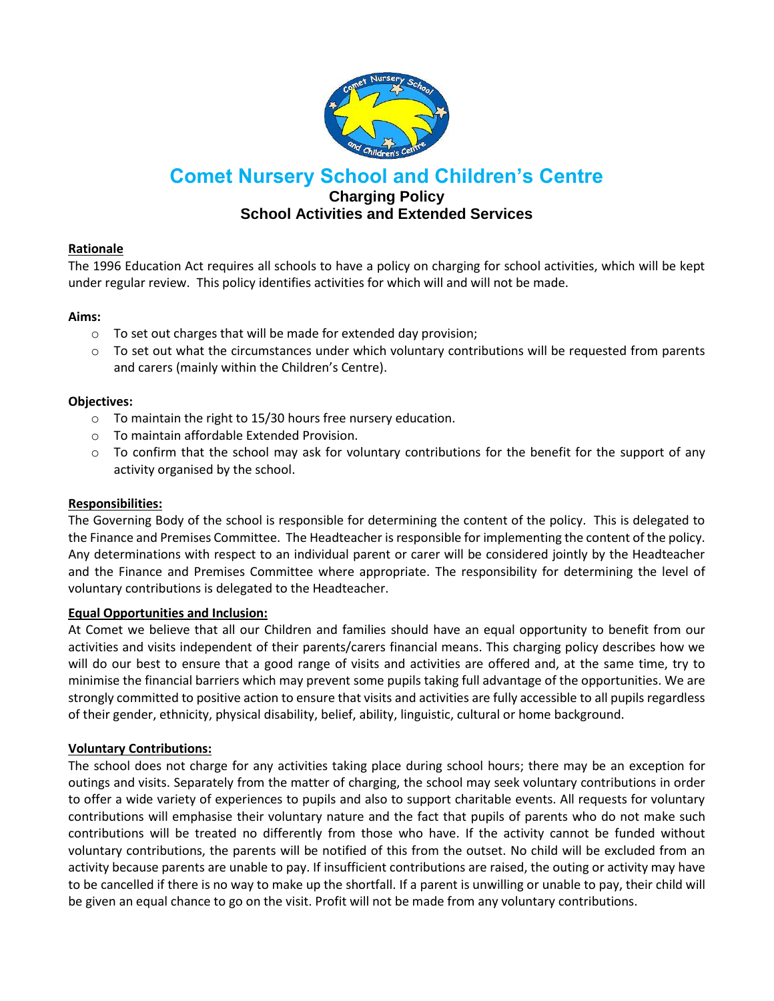

# **Comet Nursery School and Children's Centre**

# **Charging Policy School Activities and Extended Services**

## **Rationale**

The 1996 Education Act requires all schools to have a policy on charging for school activities, which will be kept under regular review. This policy identifies activities for which will and will not be made.

## **Aims:**

- o To set out charges that will be made for extended day provision;
- $\circ$  To set out what the circumstances under which voluntary contributions will be requested from parents and carers (mainly within the Children's Centre).

## **Objectives:**

- o To maintain the right to 15/30 hours free nursery education.
- o To maintain affordable Extended Provision.
- $\circ$  To confirm that the school may ask for voluntary contributions for the benefit for the support of any activity organised by the school.

## **Responsibilities:**

The Governing Body of the school is responsible for determining the content of the policy. This is delegated to the Finance and Premises Committee. The Headteacher is responsible for implementing the content of the policy. Any determinations with respect to an individual parent or carer will be considered jointly by the Headteacher and the Finance and Premises Committee where appropriate. The responsibility for determining the level of voluntary contributions is delegated to the Headteacher.

# **Equal Opportunities and Inclusion:**

At Comet we believe that all our Children and families should have an equal opportunity to benefit from our activities and visits independent of their parents/carers financial means. This charging policy describes how we will do our best to ensure that a good range of visits and activities are offered and, at the same time, try to minimise the financial barriers which may prevent some pupils taking full advantage of the opportunities. We are strongly committed to positive action to ensure that visits and activities are fully accessible to all pupils regardless of their gender, ethnicity, physical disability, belief, ability, linguistic, cultural or home background.

# **Voluntary Contributions:**

The school does not charge for any activities taking place during school hours; there may be an exception for outings and visits. Separately from the matter of charging, the school may seek voluntary contributions in order to offer a wide variety of experiences to pupils and also to support charitable events. All requests for voluntary contributions will emphasise their voluntary nature and the fact that pupils of parents who do not make such contributions will be treated no differently from those who have. If the activity cannot be funded without voluntary contributions, the parents will be notified of this from the outset. No child will be excluded from an activity because parents are unable to pay. If insufficient contributions are raised, the outing or activity may have to be cancelled if there is no way to make up the shortfall. If a parent is unwilling or unable to pay, their child will be given an equal chance to go on the visit. Profit will not be made from any voluntary contributions.